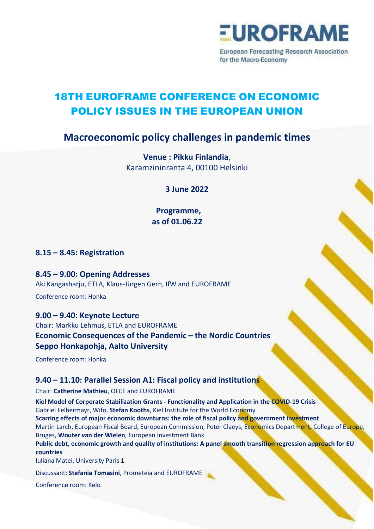

**European Forecasting Research Association** for the Macro-Economy

# 18TH EUROFRAME CONFERENCE ON ECONOMIC POLICY ISSUES IN THE EUROPEAN UNION

## Macroeconomic policy challenges in pandemic times

Venue : Pikku Finlandia, Karamzininranta 4, 00100 Helsinki

3 June 2022

Programme, as of 01.06.22

8.15 – 8.45: Registration

8.45 – 9.00: Opening Addresses

Aki Kangasharju, ETLA, Klaus-Jürgen Gern, IfW and EUROFRAME

Conference room: Honka

## 9.00 – 9.40: Keynote Lecture

Chair: Markku Lehmus, ETLA and EUROFRAME Economic Consequences of the Pandemic – the Nordic Countries Seppo Honkapohja, Aalto University

Conference room: Honka

## 9.40 – 11.10: Parallel Session A1: Fiscal policy and institutions

Chair: Catherine Mathieu, OFCE and EUROFRAME

Kiel Model of Corporate Stabilization Grants - Functionality and Application in the COVID-19 Crisis Gabriel Felbermayr, Wifo, Stefan Kooths, Kiel Institute for the World Economy Scarring effects of major economic downturns: the role of fiscal policy and government investment Martin Larch, European Fiscal Board, European Commission, Peter Claeys, Economics Department, College of Europe, Bruges, Wouter van der Wielen, European Investment Bank Public debt, economic growth and quality of institutions: A panel smooth transition regression approach for EU countries Iuliana Matei, University Paris 1

Discussant: Stefania Tomasini, Prometeia and EUROFRAME

Conference room: Kelo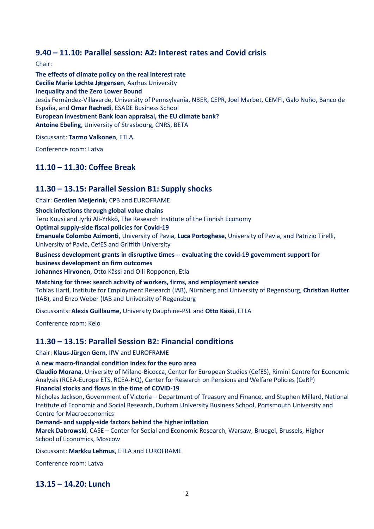## 9.40 – 11.10: Parallel session: A2: Interest rates and Covid crisis

Chair:

The effects of climate policy on the real interest rate Cecilie Marie Løchte Jørgensen, Aarhus University Inequality and the Zero Lower Bound Jesús Fernández-Villaverde, University of Pennsylvania, NBER, CEPR, Joel Marbet, CEMFI, Galo Nuño, Banco de España, and Omar Rachedi, ESADE Business School European investment Bank loan appraisal, the EU climate bank? Antoine Ebeling, University of Strasbourg, CNRS, BETA

Discussant: Tarmo Valkonen, ETLA

Conference room: Latva

## 11.10 – 11.30: Coffee Break

## 11.30 – 13.15: Parallel Session B1: Supply shocks

Chair: Gerdien Meijerink, CPB and EUROFRAME

Shock infections through global value chains

Tero Kuusi and Jyrki Ali-Yrkkö, The Research Institute of the Finnish Economy

Optimal supply-side fiscal policies for Covid-19

Emanuele Colombo Azimonti, University of Pavia, Luca Portoghese, University of Pavia, and Patrizio Tirelli, University of Pavia, CefES and Griffith University

Business development grants in disruptive times -- evaluating the covid-19 government support for business development on firm outcomes

Johannes Hirvonen, Otto Kässi and Olli Ropponen, Etla

Matching for three: search activity of workers, firms, and employment service Tobias Hartl, Institute for Employment Research (IAB), Nürnberg and University of Regensburg, Christian Hutter (IAB), and Enzo Weber (IAB and University of Regensburg

Discussants: Alexis Guillaume, University Dauphine-PSL and Otto Kässi, ETLA

Conference room: Kelo

## 11.30 – 13.15: Parallel Session B2: Financial conditions

Chair: Klaus-Jürgen Gern, IfW and EUROFRAME

#### A new macro-financial condition index for the euro area

Claudio Morana, University of Milano-Bicocca, Center for European Studies (CefES), Rimini Centre for Economic Analysis (RCEA-Europe ETS, RCEA-HQ), Center for Research on Pensions and Welfare Policies (CeRP)

#### Financial stocks and flows in the time of COVID-19

Nicholas Jackson, Government of Victoria – Department of Treasury and Finance, and Stephen Millard, National Institute of Economic and Social Research, Durham University Business School, Portsmouth University and Centre for Macroeconomics

Demand- and supply-side factors behind the higher inflation

Marek Dabrowski, CASE – Center for Social and Economic Research, Warsaw, Bruegel, Brussels, Higher School of Economics, Moscow

Discussant: Markku Lehmus, ETLA and EUROFRAME

Conference room: Latva

## 13.15 – 14.20: Lunch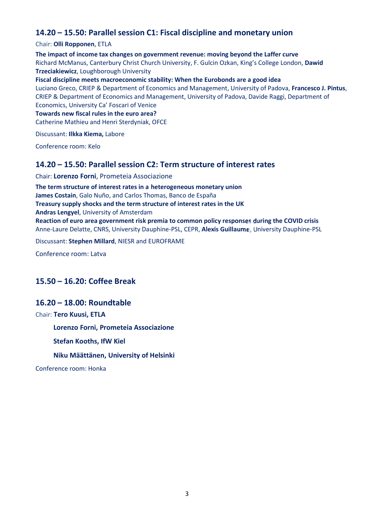## 14.20 – 15.50: Parallel session C1: Fiscal discipline and monetary union

#### Chair: Olli Ropponen, ETLA

The impact of income tax changes on government revenue: moving beyond the Laffer curve Richard McManus, Canterbury Christ Church University, F. Gulcin Ozkan, King's College London, Dawid Trzeciakiewicz, Loughborough University Fiscal discipline meets macroeconomic stability: When the Eurobonds are a good idea

Luciano Greco, CRIEP & Department of Economics and Management, University of Padova, Francesco J. Pintus, CRIEP & Department of Economics and Management, University of Padova, Davide Raggi, Department of Economics, University Ca' Foscari of Venice

#### Towards new fiscal rules in the euro area?

Catherine Mathieu and Henri Sterdyniak, OFCE

Discussant: Ilkka Kiema, Labore

Conference room: Kelo

### 14.20 – 15.50: Parallel session C2: Term structure of interest rates

Chair: Lorenzo Forni, Prometeia Associazione

The term structure of interest rates in a heterogeneous monetary union James Costain, Galo Nuño, and Carlos Thomas, Banco de España Treasury supply shocks and the term structure of interest rates in the UK Andras Lengyel, University of Amsterdam Reaction of euro area government risk premia to common policy responses during the COVID crisis Anne-Laure Delatte, CNRS, University Dauphine-PSL, CEPR, Alexis Guillaume, University Dauphine-PSL

Discussant: Stephen Millard, NIESR and EUROFRAME

Conference room: Latva

## 15.50 – 16.20: Coffee Break

## 16.20 – 18.00: Roundtable

Chair: Tero Kuusi, ETLA

Lorenzo Forni, Prometeia Associazione

Stefan Kooths, IfW Kiel

Niku Määttänen, University of Helsinki

Conference room: Honka